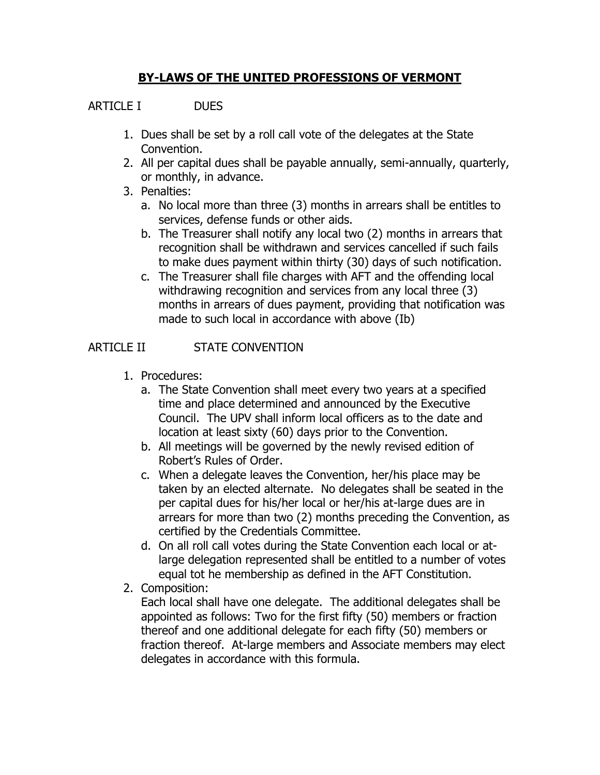# **BY-LAWS OF THE UNITED PROFESSIONS OF VERMONT**

## ARTICLE I DUES

- 1. Dues shall be set by a roll call vote of the delegates at the State Convention.
- 2. All per capital dues shall be payable annually, semi-annually, quarterly, or monthly, in advance.
- 3. Penalties:
	- a. No local more than three (3) months in arrears shall be entitles to services, defense funds or other aids.
	- b. The Treasurer shall notify any local two (2) months in arrears that recognition shall be withdrawn and services cancelled if such fails to make dues payment within thirty (30) days of such notification.
	- c. The Treasurer shall file charges with AFT and the offending local withdrawing recognition and services from any local three (3) months in arrears of dues payment, providing that notification was made to such local in accordance with above (Ib)

## ARTICLE II STATE CONVENTION

- 1. Procedures:
	- a. The State Convention shall meet every two years at a specified time and place determined and announced by the Executive Council. The UPV shall inform local officers as to the date and location at least sixty (60) days prior to the Convention.
	- b. All meetings will be governed by the newly revised edition of Robert's Rules of Order.
	- c. When a delegate leaves the Convention, her/his place may be taken by an elected alternate. No delegates shall be seated in the per capital dues for his/her local or her/his at-large dues are in arrears for more than two (2) months preceding the Convention, as certified by the Credentials Committee.
	- d. On all roll call votes during the State Convention each local or atlarge delegation represented shall be entitled to a number of votes equal tot he membership as defined in the AFT Constitution.
- 2. Composition:

Each local shall have one delegate. The additional delegates shall be appointed as follows: Two for the first fifty (50) members or fraction thereof and one additional delegate for each fifty (50) members or fraction thereof. At-large members and Associate members may elect delegates in accordance with this formula.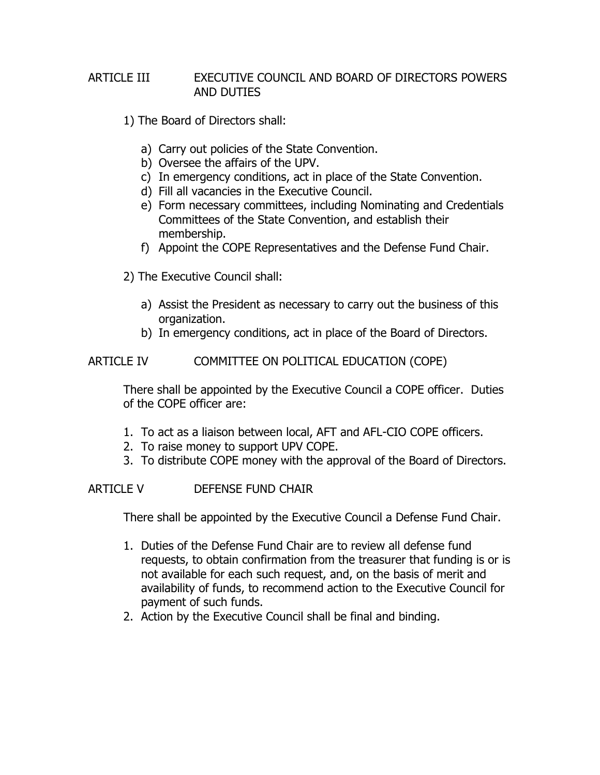### ARTICLE III EXECUTIVE COUNCIL AND BOARD OF DIRECTORS POWERS AND DUTIES

- 1) The Board of Directors shall:
	- a) Carry out policies of the State Convention.
	- b) Oversee the affairs of the UPV.
	- c) In emergency conditions, act in place of the State Convention.
	- d) Fill all vacancies in the Executive Council.
	- e) Form necessary committees, including Nominating and Credentials Committees of the State Convention, and establish their membership.
	- f) Appoint the COPE Representatives and the Defense Fund Chair.
- 2) The Executive Council shall:
	- a) Assist the President as necessary to carry out the business of this organization.
	- b) In emergency conditions, act in place of the Board of Directors.

### ARTICLE IV COMMITTEE ON POLITICAL EDUCATION (COPE)

There shall be appointed by the Executive Council a COPE officer. Duties of the COPE officer are:

- 1. To act as a liaison between local, AFT and AFL-CIO COPE officers.
- 2. To raise money to support UPV COPE.
- 3. To distribute COPE money with the approval of the Board of Directors.

## ARTICLE V DEFENSE FUND CHAIR

There shall be appointed by the Executive Council a Defense Fund Chair.

- 1. Duties of the Defense Fund Chair are to review all defense fund requests, to obtain confirmation from the treasurer that funding is or is not available for each such request, and, on the basis of merit and availability of funds, to recommend action to the Executive Council for payment of such funds.
- 2. Action by the Executive Council shall be final and binding.